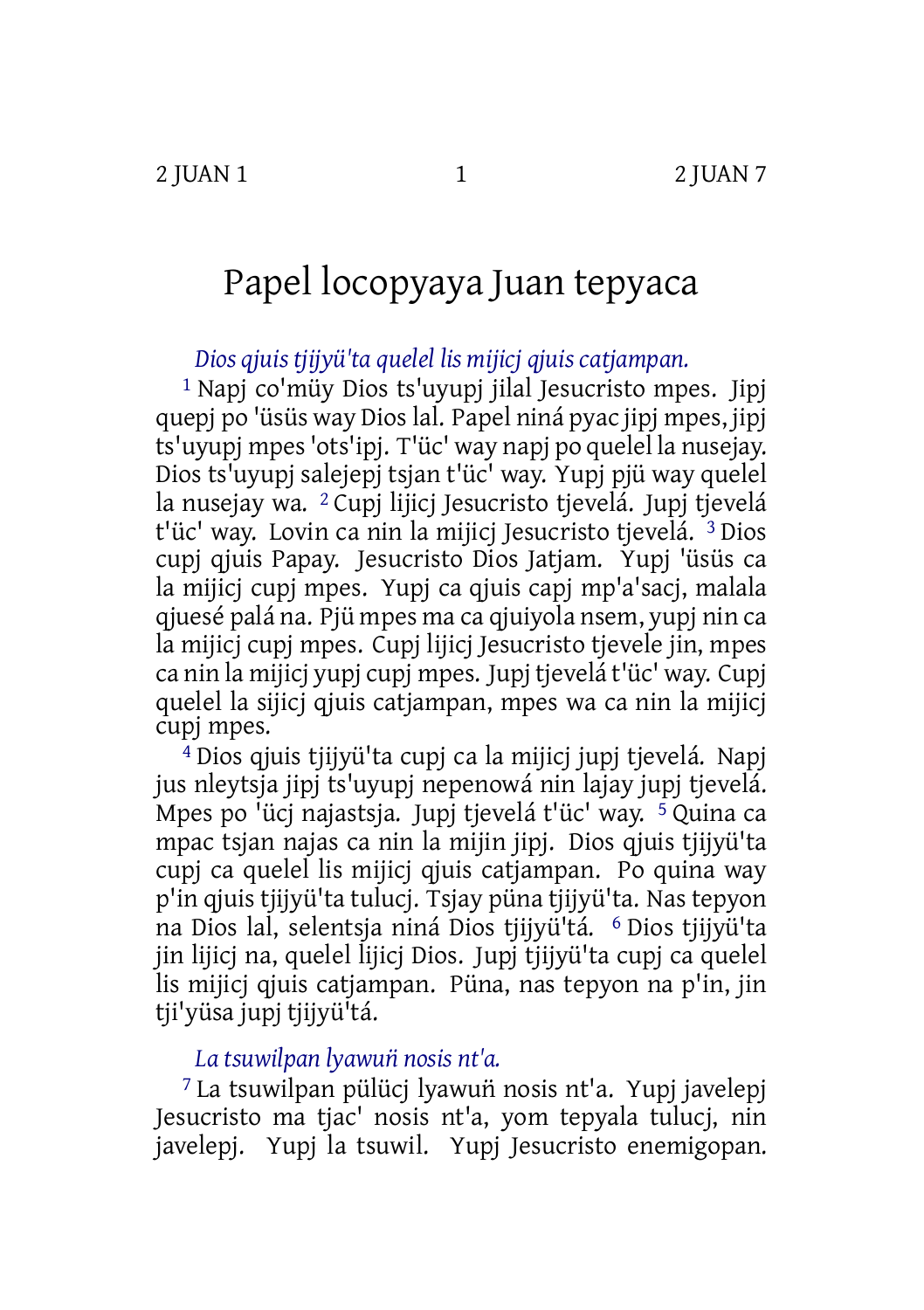# Papel locopyaya Juan tepyaca

*Dios qjuis tjijyü'ta quelel lis mijicj qjuis catjampan.*

1 Napj co'müy Dios ts'uyupj jilal Jesucristo mpes. Jipj quepj po 'üsüs way Dioslal. Papel niná pyac jipj mpes, jipj ts'uyupj mpes'ots'ipj. T'üc' way napj po quelel la nusejay. Dios ts'uyupj salejepj tsjan t'üc' way. Yupj pjü way quelel la nusejay wa. <sup>2</sup> Cupj lijici Jesucristo tjevelá. Jupi tjevelá t'üc' way. Lovin ca nin la mijici Jesucristo tievelá. <sup>3</sup> Dios cupj qjuis Papay. Jesucristo Dios Jatjam. Yupj 'üsüs ca la mijicj cupj mpes. Yupj ca qjuis capj mp'a'sacj, malala qjuesé palá na. Pjü mpes ma ca qjuiyola nsem, yupj nin ca la mijicj cupj mpes. Cupj lijicj Jesucristo tjevele jin, mpes ca nin la mijicj yupj cupj mpes. Jupj tjevelá t'üc' way. Cupj quelel la sijicj qjuis catjampan, mpes wa ca nin la mijicj cupj mpes.

4 Dios qjuis tjijyü'ta cupj ca la mijicj jupj tjevelá. Napj jus nleytsja jipj ts'uyupj nepenowá nin lajay jupj tjevelá. Mpes po 'ücj najastsja. Jupj tjevelá t'üc' way. 5 Quina ca mpac tsjan najas ca nin la mijin jipj. Dios qjuis tjijyü'ta cupj ca quelel lis mijicj qjuis catjampan. Po quina way p'in qjuis tjijyü'ta tulucj. Tsjay püna tjijyü'ta. Nas tepyon na Dios lal, selentsja niná Dios tjijyü'tá. 6 Dios tjijyü'ta jin lijicj na, quelel lijicj Dios. Jupj tjijyü'ta cupj ca quelel lis mijicj qjuis catjampan. Püna, nas tepyon na p'in, jin tii'vüsa jupi tiijvü<sup>i</sup>tá.

## *La tsuwilpan lyawun̈nosis nt'a.*

<sup>7</sup> La tsuwilpan pülücj lyawuñ nosis nt'a. Yupj javelepj Jesucristo ma tjac' nosis nt'a, yom tepyala tulucj, nin javelepj. Yupj la tsuwil. Yupj Jesucristo enemigopan.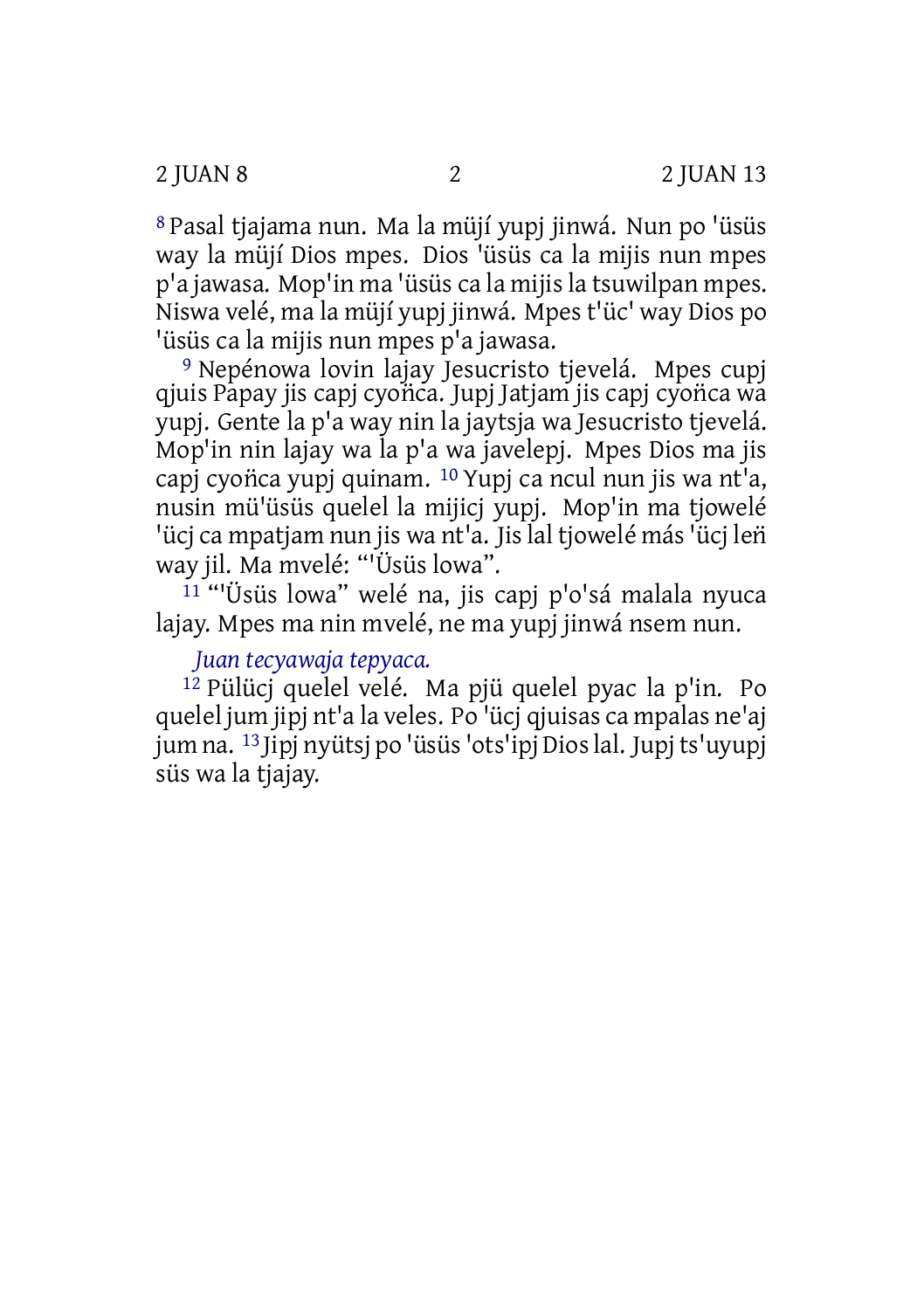8 Pasal tjajama nun. Ma la müjí yupj jinwá. Nun po 'üsüs way la müjí Dios mpes. Dios 'üsüs ca la mijis nun mpes p'a jawasa. Mop'in ma 'üsüs ca la mijisla tsuwilpan mpes. Niswa velé, ma la müjí yupj jinwá. Mpes t'üc' way Dios po 'üsüs ca la mijis nun mpes p'a jawasa.

9 Nepénowa lovin lajay Jesucristo tjevelá. Mpes cupj qjuis Papay jis capj cyon̈ca. Jupj Jatjam jis capj cyon̈ca wa yupj. Gente la p'a way nin la jaytsja wa Jesucristo tjevelá. Mop'in nin lajay wa la p'a wa javelepj. Mpes Dios ma jis capj cyonca yupj quinam. <sup>10</sup> Yupj ca ncul nun jis wa nt'a, nusin mü'üsüs quelel la mijicj yupj. Mop'in ma tjowelé 'ücj ca mpatjam nun jis wa nt'a. Jis lal tjowelé más 'ücj leñ way jil. Ma mvelé: "'Üsüs lowa".

11 "'Üsüs lowa" welé na, jis capj p'o'sá malala nyuca lajay. Mpes ma nin mvelé, ne ma yupj jinwá nsem nun.

### *Juan tecyawaja tepyaca.*

12 Pülücj quelel velé. Ma pjü quelel pyac la p'in. Po quelel jum jipj nt'a la veles. Po 'ücj qjuisas ca mpalas ne'aj jum na. 13 Jipj nyütsj po 'üsüs'ots'ipj Dioslal. Jupjts'uyupj süs wa la tiajay.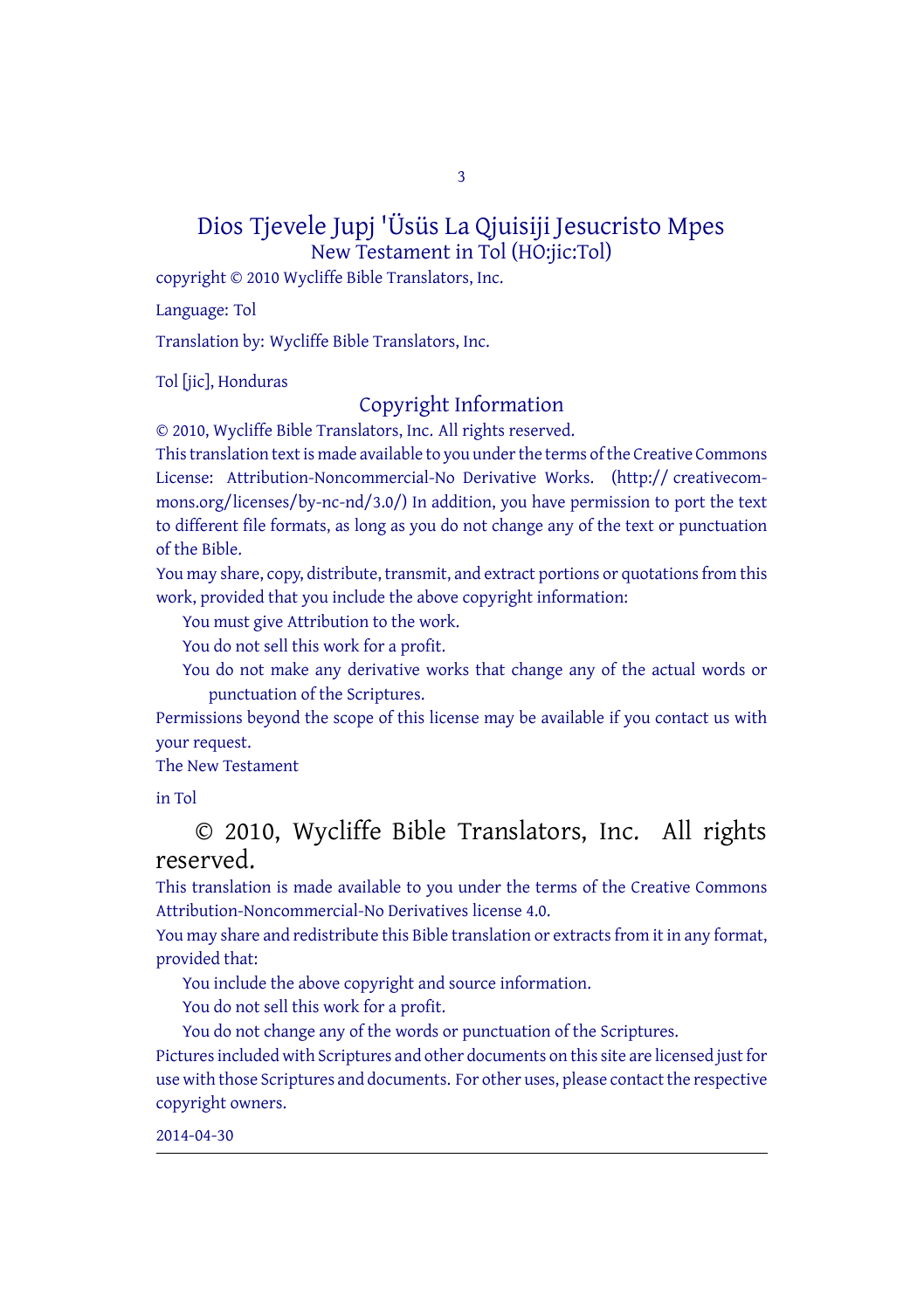3

#### Dios Tjevele Jupj 'Üsüs La Qjuisiji Jesucristo Mpes New Testament in Tol (HO:jic:Tol)

copyright © 2010 Wycliffe Bible Translators, Inc.

Language: Tol

Translation by: Wycliffe Bible Translators, Inc.

Tol [jic], Honduras

#### Copyright Information

© 2010, Wycliffe Bible Translators, Inc. All rights reserved.

This translation text is made available to you under the terms of the Creative [Commons](http://creativecommons.org/licenses/by-nc-nd/4.0/) License: [Attribution-Noncommercial-No](http://creativecommons.org/licenses/by-nc-nd/4.0/) Derivative Works. (http:// creativecommons.org/licenses/by-nc-nd/3.0/) In addition, you have permission to port the text to different file formats, as long as you do not change any of the text or punctuation of the Bible.

You may share, copy, distribute, transmit, and extract portions or quotations from this work, provided that you include the above copyright information:

You must give Attribution to the work.

You do not sell this work for a profit.

You do not make any derivative works that change any of the actual words or punctuation of the Scriptures.

Permissions beyond the scope of this license may be available if you contact us with your request.

The New Testament

in Tol

© 2010, Wycliffe Bible Translators, Inc. All rights reserved.

This translation is made available to you under the terms of the Creative Commons Attribution-Noncommercial-No Derivatives license 4.0.

You may share and redistribute this Bible translation or extracts from it in any format, provided that:

You include the above copyright and source information.

You do not sell this work for a profit.

You do not change any of the words or punctuation of the Scriptures. Pictures included with Scriptures and other documents on this site are licensed just for use with those Scriptures and documents. For other uses, please contact the respective copyright owners.

2014-04-30